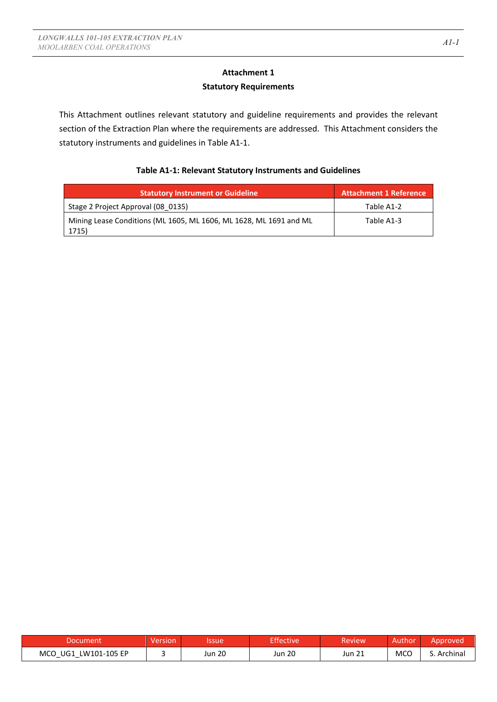# **Attachment 1 Statutory Requirements**

This Attachment outlines relevant statutory and guideline requirements and provides the relevant section of the Extraction Plan where the requirements are addressed. This Attachment considers the statutory instruments and guidelines in Table A1-1.

### **Table A1-1: Relevant Statutory Instruments and Guidelines**

| <b>Statutory Instrument or Guideline</b>                                    | <b>Attachment 1 Reference</b> |
|-----------------------------------------------------------------------------|-------------------------------|
| Stage 2 Project Approval (08 0135)                                          | Table A1-2                    |
| Mining Lease Conditions (ML 1605, ML 1606, ML 1628, ML 1691 and ML<br>1715) | Table A1-3                    |

| Document                | Version | Issue  | <b>Effective</b> | Review | 'Authon    | Approved |
|-------------------------|---------|--------|------------------|--------|------------|----------|
| MCO UG1<br>LW101-105 EP |         | Jun 20 | Jun 20           | Jun 21 | <b>MCC</b> | Archinal |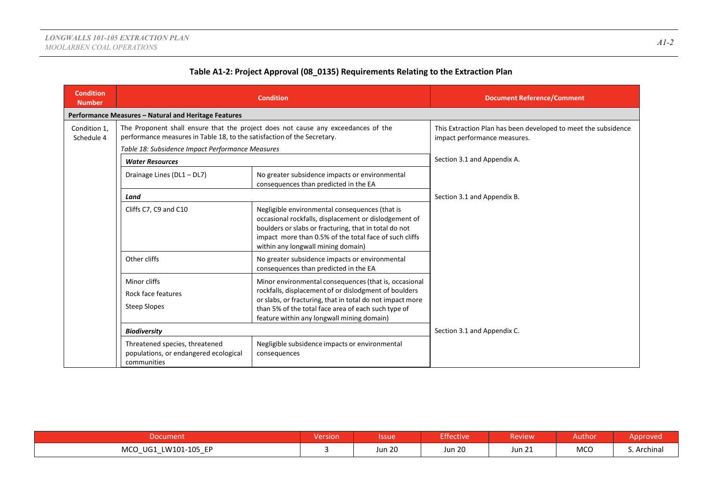| <b>Condition</b><br><b>Number</b> |                                                                                                                                                                                                                                                                                                                                                                      | <b>Condition</b>                                                                        | <b>Document Reference/Comment</b>                                                              |
|-----------------------------------|----------------------------------------------------------------------------------------------------------------------------------------------------------------------------------------------------------------------------------------------------------------------------------------------------------------------------------------------------------------------|-----------------------------------------------------------------------------------------|------------------------------------------------------------------------------------------------|
|                                   | Performance Measures - Natural and Heritage Features                                                                                                                                                                                                                                                                                                                 |                                                                                         |                                                                                                |
| Condition 1,<br>Schedule 4        | performance measures in Table 18, to the satisfaction of the Secretary.                                                                                                                                                                                                                                                                                              | The Proponent shall ensure that the project does not cause any exceedances of the       | This Extraction Plan has been developed to meet the subsidence<br>impact performance measures. |
|                                   | Table 18: Subsidence Impact Performance Measures                                                                                                                                                                                                                                                                                                                     |                                                                                         |                                                                                                |
|                                   | <b>Water Resources</b>                                                                                                                                                                                                                                                                                                                                               |                                                                                         | Section 3.1 and Appendix A.                                                                    |
|                                   | Drainage Lines (DL1 - DL7)                                                                                                                                                                                                                                                                                                                                           | No greater subsidence impacts or environmental<br>consequences than predicted in the EA |                                                                                                |
|                                   | Land<br>Cliffs C7, C9 and C10<br>Negligible environmental consequences (that is<br>occasional rockfalls, displacement or dislodgement of<br>boulders or slabs or fracturing, that in total do not<br>impact more than 0.5% of the total face of such cliffs<br>within any longwall mining domain)                                                                    |                                                                                         | Section 3.1 and Appendix B.                                                                    |
|                                   |                                                                                                                                                                                                                                                                                                                                                                      |                                                                                         |                                                                                                |
|                                   | Other cliffs                                                                                                                                                                                                                                                                                                                                                         | No greater subsidence impacts or environmental<br>consequences than predicted in the EA |                                                                                                |
|                                   | Minor cliffs<br>Minor environmental consequences (that is, occasional<br>rockfalls, displacement of or dislodgment of boulders<br>Rock face features<br>or slabs, or fracturing, that in total do not impact more<br><b>Steep Slopes</b><br>than 5% of the total face area of each such type of<br>feature within any longwall mining domain)<br><b>Biodiversity</b> |                                                                                         |                                                                                                |
|                                   |                                                                                                                                                                                                                                                                                                                                                                      |                                                                                         | Section 3.1 and Appendix C.                                                                    |
|                                   | Threatened species, threatened<br>populations, or endangered ecological<br>communities                                                                                                                                                                                                                                                                               | Negligible subsidence impacts or environmental<br>consequences                          |                                                                                                |

| Document                                                                                       | <b>Version</b> | lssue'           | <b>Effective</b>        | <b>Review</b>          | Author     | Approved    |
|------------------------------------------------------------------------------------------------|----------------|------------------|-------------------------|------------------------|------------|-------------|
| LW101-105 EP<br><b>MCO</b><br>UG1<br>$\overline{\phantom{0}}$<br>$\overline{\phantom{0}}$<br>- |                | $\sim$<br>Jun 20 | $\sim$ $\sim$<br>Jun 20 | $\mathbf{A}$<br>Jun 21 | <b>MCO</b> | S. Archinal |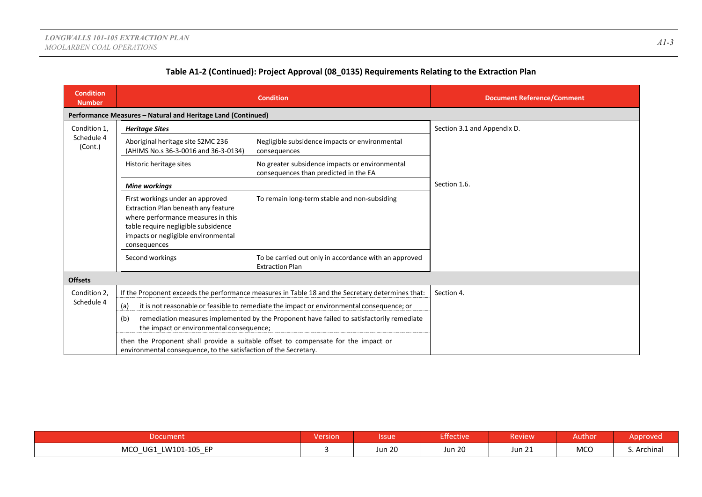| <b>Condition</b><br><b>Number</b>                                                                                  |                                                                                                                                                                                                                                                             | <b>Condition</b>                                                                                 | <b>Document Reference/Comment</b> |
|--------------------------------------------------------------------------------------------------------------------|-------------------------------------------------------------------------------------------------------------------------------------------------------------------------------------------------------------------------------------------------------------|--------------------------------------------------------------------------------------------------|-----------------------------------|
|                                                                                                                    | Performance Measures - Natural and Heritage Land (Continued)                                                                                                                                                                                                |                                                                                                  |                                   |
| Condition 1,                                                                                                       | <b>Heritage Sites</b>                                                                                                                                                                                                                                       |                                                                                                  | Section 3.1 and Appendix D.       |
| Schedule 4<br>(Cont.)                                                                                              | Aboriginal heritage site S2MC 236<br>(AHIMS No.s 36-3-0016 and 36-3-0134)                                                                                                                                                                                   | Negligible subsidence impacts or environmental<br>consequences                                   |                                   |
| No greater subsidence impacts or environmental<br>Historic heritage sites<br>consequences than predicted in the EA |                                                                                                                                                                                                                                                             |                                                                                                  |                                   |
|                                                                                                                    | <b>Mine workings</b>                                                                                                                                                                                                                                        | Section 1.6.                                                                                     |                                   |
|                                                                                                                    | To remain long-term stable and non-subsiding<br>First workings under an approved<br>Extraction Plan beneath any feature<br>where performance measures in this<br>table require negligible subsidence<br>impacts or negligible environmental<br>consequences |                                                                                                  |                                   |
|                                                                                                                    | Second workings                                                                                                                                                                                                                                             | To be carried out only in accordance with an approved<br><b>Extraction Plan</b>                  |                                   |
| <b>Offsets</b>                                                                                                     |                                                                                                                                                                                                                                                             |                                                                                                  |                                   |
| Condition 2,                                                                                                       |                                                                                                                                                                                                                                                             | If the Proponent exceeds the performance measures in Table 18 and the Secretary determines that: | Section 4.                        |
| Schedule 4                                                                                                         | (a)                                                                                                                                                                                                                                                         | it is not reasonable or feasible to remediate the impact or environmental consequence; or        |                                   |
|                                                                                                                    | (b)<br>the impact or environmental consequence;                                                                                                                                                                                                             | remediation measures implemented by the Proponent have failed to satisfactorily remediate        |                                   |
|                                                                                                                    | environmental consequence, to the satisfaction of the Secretary.                                                                                                                                                                                            | then the Proponent shall provide a suitable offset to compensate for the impact or               |                                   |

| <b>Document</b>                                                                           | .<br>Version | <b>Issue</b>  | Effective     | <b>Review</b>          | Authon     | Approved |
|-------------------------------------------------------------------------------------------|--------------|---------------|---------------|------------------------|------------|----------|
| <b>MCO</b><br>LW101-105 EP<br>UG1<br>$\overline{\phantom{0}}$<br>$\overline{\phantom{0}}$ |              | <b>Jun 20</b> | <b>Jun 20</b> | $^{\circ}$ 1<br>Jun 21 | <b>MCO</b> | Archinal |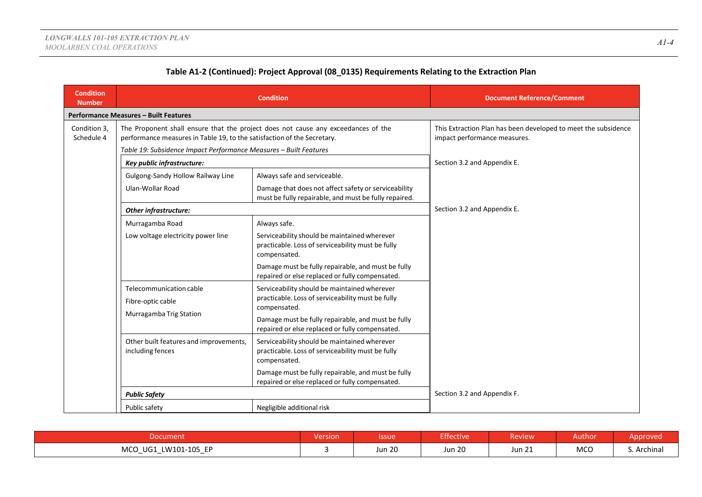| <b>Condition</b><br><b>Number</b>  |                                                                                                                                              | <b>Condition</b>                                                                                                  | <b>Document Reference/Comment</b>                                                              |
|------------------------------------|----------------------------------------------------------------------------------------------------------------------------------------------|-------------------------------------------------------------------------------------------------------------------|------------------------------------------------------------------------------------------------|
|                                    | <b>Performance Measures - Built Features</b>                                                                                                 |                                                                                                                   |                                                                                                |
| Condition 3,<br>Schedule 4         | performance measures in Table 19, to the satisfaction of the Secretary.<br>Table 19: Subsidence Impact Performance Measures - Built Features | The Proponent shall ensure that the project does not cause any exceedances of the                                 | This Extraction Plan has been developed to meet the subsidence<br>impact performance measures. |
|                                    | Key public infrastructure:                                                                                                                   |                                                                                                                   | Section 3.2 and Appendix E.                                                                    |
|                                    | Gulgong-Sandy Hollow Railway Line                                                                                                            | Always safe and serviceable.                                                                                      |                                                                                                |
|                                    | Ulan-Wollar Road<br>Damage that does not affect safety or serviceability<br>must be fully repairable, and must be fully repaired.            |                                                                                                                   |                                                                                                |
|                                    | Other infrastructure:                                                                                                                        | Section 3.2 and Appendix E.                                                                                       |                                                                                                |
|                                    | Murragamba Road<br>Always safe.                                                                                                              |                                                                                                                   |                                                                                                |
| Low voltage electricity power line |                                                                                                                                              | Serviceability should be maintained wherever<br>practicable. Loss of serviceability must be fully<br>compensated. |                                                                                                |
|                                    |                                                                                                                                              | Damage must be fully repairable, and must be fully<br>repaired or else replaced or fully compensated.             |                                                                                                |
|                                    | Telecommunication cable<br>Fibre-optic cable<br>Murragamba Trig Station                                                                      | Serviceability should be maintained wherever<br>practicable. Loss of serviceability must be fully<br>compensated. |                                                                                                |
|                                    |                                                                                                                                              | Damage must be fully repairable, and must be fully<br>repaired or else replaced or fully compensated.             |                                                                                                |
|                                    | Other built features and improvements,<br>including fences                                                                                   | Serviceability should be maintained wherever<br>practicable. Loss of serviceability must be fully<br>compensated. |                                                                                                |
|                                    |                                                                                                                                              | Damage must be fully repairable, and must be fully<br>repaired or else replaced or fully compensated.             |                                                                                                |
|                                    | <b>Public Safety</b>                                                                                                                         |                                                                                                                   | Section 3.2 and Appendix F.                                                                    |
|                                    | Public safety                                                                                                                                | Negligible additional risk                                                                                        |                                                                                                |

| Document                                            | <b>Version</b> | <b>Issue</b>  | Effective                      | <b>Review</b>    | Author      | Approved    |
|-----------------------------------------------------|----------------|---------------|--------------------------------|------------------|-------------|-------------|
| LW101-105 EP<br>MCO UG1<br>$\overline{\phantom{0}}$ |                | <b>Jun 20</b> | $\sim$ $\sim$<br><b>Jun 20</b> | $\sim$<br>Jun 21 | MCO<br>$ -$ | S. Archinal |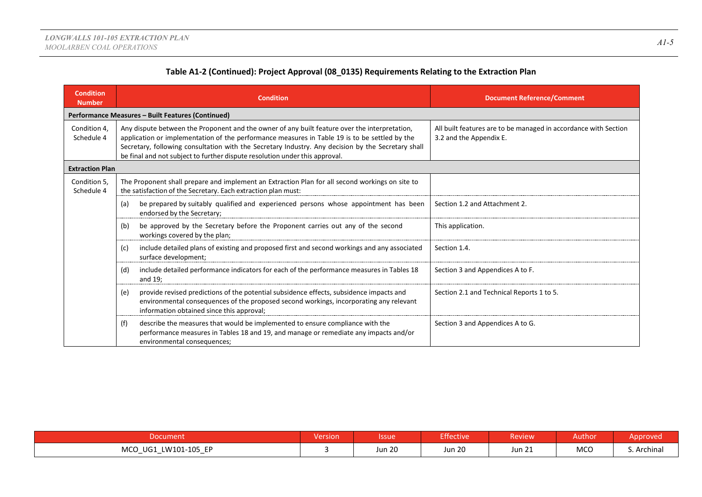| <b>Condition</b><br><b>Number</b> | <b>Condition</b>                                                                                                                                                                                                                                                                                                                                                                    | <b>Document Reference/Comment</b>                                                          |
|-----------------------------------|-------------------------------------------------------------------------------------------------------------------------------------------------------------------------------------------------------------------------------------------------------------------------------------------------------------------------------------------------------------------------------------|--------------------------------------------------------------------------------------------|
|                                   | Performance Measures - Built Features (Continued)                                                                                                                                                                                                                                                                                                                                   |                                                                                            |
| Condition 4,<br>Schedule 4        | Any dispute between the Proponent and the owner of any built feature over the interpretation,<br>application or implementation of the performance measures in Table 19 is to be settled by the<br>Secretary, following consultation with the Secretary Industry. Any decision by the Secretary shall<br>be final and not subject to further dispute resolution under this approval. | All built features are to be managed in accordance with Section<br>3.2 and the Appendix E. |
| <b>Extraction Plan</b>            |                                                                                                                                                                                                                                                                                                                                                                                     |                                                                                            |
| Condition 5,<br>Schedule 4        | The Proponent shall prepare and implement an Extraction Plan for all second workings on site to<br>the satisfaction of the Secretary. Each extraction plan must:                                                                                                                                                                                                                    |                                                                                            |
|                                   | be prepared by suitably qualified and experienced persons whose appointment has been<br>(a)<br>endorsed by the Secretary;                                                                                                                                                                                                                                                           | Section 1.2 and Attachment 2.                                                              |
|                                   | be approved by the Secretary before the Proponent carries out any of the second<br>(b)<br>workings covered by the plan;                                                                                                                                                                                                                                                             | This application.                                                                          |
|                                   | include detailed plans of existing and proposed first and second workings and any associated<br>(c)<br>surface development;                                                                                                                                                                                                                                                         | Section 1.4.                                                                               |
|                                   | include detailed performance indicators for each of the performance measures in Tables 18<br>(d)<br>and 19;                                                                                                                                                                                                                                                                         | Section 3 and Appendices A to F.                                                           |
|                                   | provide revised predictions of the potential subsidence effects, subsidence impacts and<br>(e)<br>environmental consequences of the proposed second workings, incorporating any relevant<br>information obtained since this approval;                                                                                                                                               | Section 2.1 and Technical Reports 1 to 5.                                                  |
|                                   | describe the measures that would be implemented to ensure compliance with the<br>(f)<br>performance measures in Tables 18 and 19, and manage or remediate any impacts and/or<br>environmental consequences;                                                                                                                                                                         | Section 3 and Appendices A to G.                                                           |

| Document                                                      | Version | lssue         | Effective     | Review <sup>1</sup> | Author     | Approved    |
|---------------------------------------------------------------|---------|---------------|---------------|---------------------|------------|-------------|
| <b>MCO</b><br>LW101-105 EP<br>UG1<br>$\overline{\phantom{0}}$ |         | <b>Jun 20</b> | <b>Jun 20</b> | <b>Jun 21</b>       | <b>MCO</b> | S. Archinal |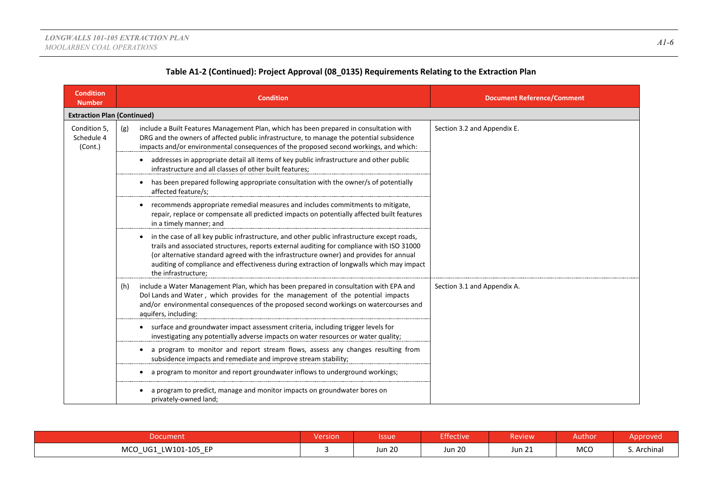| <b>Condition</b><br><b>Number</b>     | <b>Condition</b>                                                                                                                                                                                                                                                                                                                                                                                                   | <b>Document Reference/Comment</b> |
|---------------------------------------|--------------------------------------------------------------------------------------------------------------------------------------------------------------------------------------------------------------------------------------------------------------------------------------------------------------------------------------------------------------------------------------------------------------------|-----------------------------------|
| <b>Extraction Plan (Continued)</b>    |                                                                                                                                                                                                                                                                                                                                                                                                                    |                                   |
| Condition 5,<br>Schedule 4<br>(Cont.) | include a Built Features Management Plan, which has been prepared in consultation with<br>(g)<br>DRG and the owners of affected public infrastructure, to manage the potential subsidence<br>impacts and/or environmental consequences of the proposed second workings, and which:                                                                                                                                 | Section 3.2 and Appendix E.       |
|                                       | addresses in appropriate detail all items of key public infrastructure and other public<br>infrastructure and all classes of other built features;                                                                                                                                                                                                                                                                 |                                   |
|                                       | has been prepared following appropriate consultation with the owner/s of potentially<br>٠<br>affected feature/s;                                                                                                                                                                                                                                                                                                   |                                   |
|                                       | recommends appropriate remedial measures and includes commitments to mitigate,<br>repair, replace or compensate all predicted impacts on potentially affected built features<br>in a timely manner; and                                                                                                                                                                                                            |                                   |
|                                       | in the case of all key public infrastructure, and other public infrastructure except roads,<br>$\bullet$<br>trails and associated structures, reports external auditing for compliance with ISO 31000<br>(or alternative standard agreed with the infrastructure owner) and provides for annual<br>auditing of compliance and effectiveness during extraction of longwalls which may impact<br>the infrastructure; |                                   |
|                                       | include a Water Management Plan, which has been prepared in consultation with EPA and<br>(h)<br>Dol Lands and Water, which provides for the management of the potential impacts<br>and/or environmental consequences of the proposed second workings on watercourses and<br>aquifers, including:                                                                                                                   | Section 3.1 and Appendix A.       |
|                                       | surface and groundwater impact assessment criteria, including trigger levels for<br>$\bullet$<br>investigating any potentially adverse impacts on water resources or water quality;                                                                                                                                                                                                                                |                                   |
|                                       | a program to monitor and report stream flows, assess any changes resulting from<br>subsidence impacts and remediate and improve stream stability;                                                                                                                                                                                                                                                                  |                                   |
|                                       | a program to monitor and report groundwater inflows to underground workings;                                                                                                                                                                                                                                                                                                                                       |                                   |
|                                       | a program to predict, manage and monitor impacts on groundwater bores on<br>privately-owned land;                                                                                                                                                                                                                                                                                                                  |                                   |

|                                                                     | <b>Yersion</b> | lssue                   | <b>Effective</b> | <b>Review</b>    | Author     |          |
|---------------------------------------------------------------------|----------------|-------------------------|------------------|------------------|------------|----------|
| LW101-105 EP<br><b>MCO</b><br>UG1<br>__<br>$\overline{\phantom{a}}$ |                | $\sim$ $\sim$<br>Jun 20 | <b>Jun 20</b>    | $\sim$<br>Jun 21 | <b>MCO</b> | Archinal |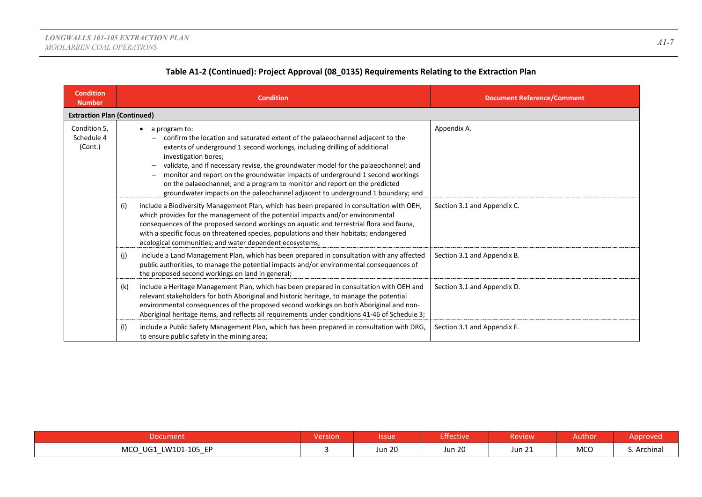| <b>Condition</b><br><b>Number</b>     |     | <b>Condition</b>                                                                                                                                                                                                                                                                                                                                                                                                                                                                                                                                | <b>Document Reference/Comment</b> |
|---------------------------------------|-----|-------------------------------------------------------------------------------------------------------------------------------------------------------------------------------------------------------------------------------------------------------------------------------------------------------------------------------------------------------------------------------------------------------------------------------------------------------------------------------------------------------------------------------------------------|-----------------------------------|
| <b>Extraction Plan (Continued)</b>    |     |                                                                                                                                                                                                                                                                                                                                                                                                                                                                                                                                                 |                                   |
| Condition 5,<br>Schedule 4<br>(Cont.) |     | a program to:<br>confirm the location and saturated extent of the palaeochannel adjacent to the<br>extents of underground 1 second workings, including drilling of additional<br>investigation bores;<br>validate, and if necessary revise, the groundwater model for the palaeochannel; and<br>monitor and report on the groundwater impacts of underground 1 second workings<br>on the palaeochannel; and a program to monitor and report on the predicted<br>groundwater impacts on the paleochannel adjacent to underground 1 boundary; and | Appendix A.                       |
|                                       | (i) | include a Biodiversity Management Plan, which has been prepared in consultation with OEH,<br>which provides for the management of the potential impacts and/or environmental<br>consequences of the proposed second workings on aquatic and terrestrial flora and fauna,<br>with a specific focus on threatened species, populations and their habitats; endangered<br>ecological communities; and water dependent ecosystems;                                                                                                                  | Section 3.1 and Appendix C.       |
|                                       | (j) | include a Land Management Plan, which has been prepared in consultation with any affected<br>public authorities, to manage the potential impacts and/or environmental consequences of<br>the proposed second workings on land in general;                                                                                                                                                                                                                                                                                                       | Section 3.1 and Appendix B.       |
|                                       | (k) | include a Heritage Management Plan, which has been prepared in consultation with OEH and<br>relevant stakeholders for both Aboriginal and historic heritage, to manage the potential<br>environmental consequences of the proposed second workings on both Aboriginal and non-<br>Aboriginal heritage items, and reflects all requirements under conditions 41-46 of Schedule 3;                                                                                                                                                                | Section 3.1 and Appendix D.       |
|                                       | (1) | include a Public Safety Management Plan, which has been prepared in consultation with DRG,<br>to ensure public safety in the mining area;                                                                                                                                                                                                                                                                                                                                                                                                       | Section 3.1 and Appendix F.       |

| Document                                                      | <b>Version</b> | <b>Issue</b> | <b>Effective</b> | Review                  | Author     | Approved    |
|---------------------------------------------------------------|----------------|--------------|------------------|-------------------------|------------|-------------|
| <b>MCO</b><br>LW101-105 EP<br>UG1<br>$\overline{\phantom{0}}$ |                | Jun 20       | <b>Jun 20</b>    | $\sim$<br><b>Jun 21</b> | <b>MCO</b> | S. Archinal |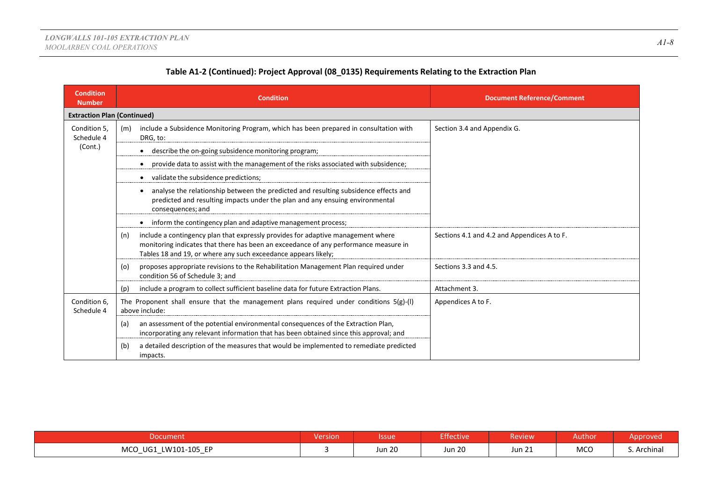| <b>Condition</b><br><b>Number</b>  | <b>Condition</b>                                                                                                                                                                                                                                  | <b>Document Reference/Comment</b>           |
|------------------------------------|---------------------------------------------------------------------------------------------------------------------------------------------------------------------------------------------------------------------------------------------------|---------------------------------------------|
| <b>Extraction Plan (Continued)</b> |                                                                                                                                                                                                                                                   |                                             |
| Condition 5,<br>Schedule 4         | include a Subsidence Monitoring Program, which has been prepared in consultation with<br>(m)<br>DRG, to:                                                                                                                                          | Section 3.4 and Appendix G.                 |
| (Cont.)                            | describe the on-going subsidence monitoring program;                                                                                                                                                                                              |                                             |
|                                    | provide data to assist with the management of the risks associated with subsidence;                                                                                                                                                               |                                             |
|                                    | validate the subsidence predictions;                                                                                                                                                                                                              |                                             |
|                                    | analyse the relationship between the predicted and resulting subsidence effects and<br>predicted and resulting impacts under the plan and any ensuing environmental<br>consequences; and                                                          |                                             |
|                                    | inform the contingency plan and adaptive management process;                                                                                                                                                                                      |                                             |
|                                    | include a contingency plan that expressly provides for adaptive management where<br>(n)<br>monitoring indicates that there has been an exceedance of any performance measure in<br>Tables 18 and 19, or where any such exceedance appears likely; | Sections 4.1 and 4.2 and Appendices A to F. |
|                                    | proposes appropriate revisions to the Rehabilitation Management Plan required under<br>(o)<br>condition 56 of Schedule 3; and                                                                                                                     | Sections 3.3 and 4.5.                       |
|                                    | include a program to collect sufficient baseline data for future Extraction Plans.<br>(p)                                                                                                                                                         | Attachment 3.                               |
| Condition 6,<br>Schedule 4         | The Proponent shall ensure that the management plans required under conditions $5(g)$ -(I)<br>above include:                                                                                                                                      | Appendices A to F.                          |
|                                    | an assessment of the potential environmental consequences of the Extraction Plan,<br>(a)<br>incorporating any relevant information that has been obtained since this approval; and                                                                |                                             |
|                                    | a detailed description of the measures that would be implemented to remediate predicted<br>(b)<br>impacts.                                                                                                                                        |                                             |

| Document                                                                                  | <b>Version</b> | Issue         | <b>Effective</b> | Review       | Author     | Approved    |
|-------------------------------------------------------------------------------------------|----------------|---------------|------------------|--------------|------------|-------------|
| <b>MCO</b><br>LW101-105 EP<br>UG1<br>$\overline{\phantom{0}}$<br>$\overline{\phantom{a}}$ |                | <b>Jun 20</b> | <b>Jun 20</b>    | 21<br>Jun 21 | <b>MCO</b> | د. Archinal |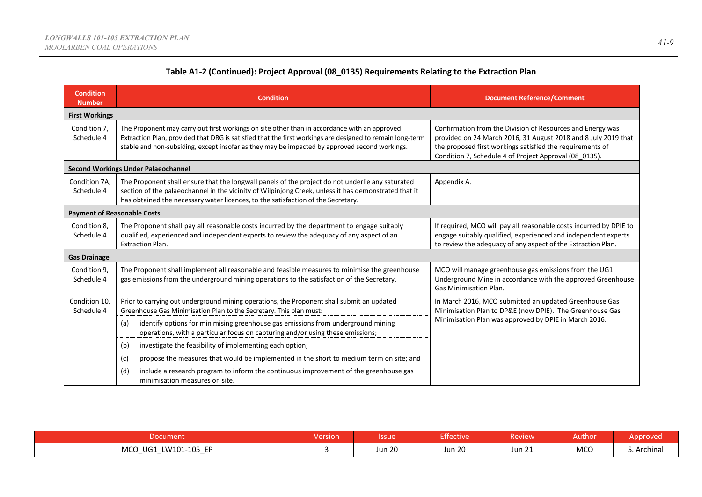|  | Table A1-2 (Continued): Project Approval (08_0135) Requirements Relating to the Extraction Plan |
|--|-------------------------------------------------------------------------------------------------|
|--|-------------------------------------------------------------------------------------------------|

| <b>Condition</b><br><b>Number</b>  | <b>Condition</b>                                                                                                                                                                                                                                                                                          | <b>Document Reference/Comment</b>                                                                                                                                                                                                                   |
|------------------------------------|-----------------------------------------------------------------------------------------------------------------------------------------------------------------------------------------------------------------------------------------------------------------------------------------------------------|-----------------------------------------------------------------------------------------------------------------------------------------------------------------------------------------------------------------------------------------------------|
| <b>First Workings</b>              |                                                                                                                                                                                                                                                                                                           |                                                                                                                                                                                                                                                     |
| Condition 7,<br>Schedule 4         | The Proponent may carry out first workings on site other than in accordance with an approved<br>Extraction Plan, provided that DRG is satisfied that the first workings are designed to remain long-term<br>stable and non-subsiding, except insofar as they may be impacted by approved second workings. | Confirmation from the Division of Resources and Energy was<br>provided on 24 March 2016, 31 August 2018 and 8 July 2019 that<br>the proposed first workings satisfied the requirements of<br>Condition 7, Schedule 4 of Project Approval (08 0135). |
|                                    | <b>Second Workings Under Palaeochannel</b>                                                                                                                                                                                                                                                                |                                                                                                                                                                                                                                                     |
| Condition 7A,<br>Schedule 4        | The Proponent shall ensure that the longwall panels of the project do not underlie any saturated<br>section of the palaeochannel in the vicinity of Wilpinjong Creek, unless it has demonstrated that it<br>has obtained the necessary water licences, to the satisfaction of the Secretary.              | Appendix A.                                                                                                                                                                                                                                         |
| <b>Payment of Reasonable Costs</b> |                                                                                                                                                                                                                                                                                                           |                                                                                                                                                                                                                                                     |
| Condition 8,<br>Schedule 4         | The Proponent shall pay all reasonable costs incurred by the department to engage suitably<br>qualified, experienced and independent experts to review the adequacy of any aspect of an<br><b>Extraction Plan.</b>                                                                                        | If required, MCO will pay all reasonable costs incurred by DPIE to<br>engage suitably qualified, experienced and independent experts<br>to review the adequacy of any aspect of the Extraction Plan.                                                |
| <b>Gas Drainage</b>                |                                                                                                                                                                                                                                                                                                           |                                                                                                                                                                                                                                                     |
| Condition 9,<br>Schedule 4         | The Proponent shall implement all reasonable and feasible measures to minimise the greenhouse<br>gas emissions from the underground mining operations to the satisfaction of the Secretary.                                                                                                               | MCO will manage greenhouse gas emissions from the UG1<br>Underground Mine in accordance with the approved Greenhouse<br><b>Gas Minimisation Plan.</b>                                                                                               |
| Condition 10,<br>Schedule 4        | Prior to carrying out underground mining operations, the Proponent shall submit an updated<br>Greenhouse Gas Minimisation Plan to the Secretary. This plan must:                                                                                                                                          | In March 2016, MCO submitted an updated Greenhouse Gas<br>Minimisation Plan to DP&E (now DPIE). The Greenhouse Gas                                                                                                                                  |
|                                    | identify options for minimising greenhouse gas emissions from underground mining<br>(a)<br>operations, with a particular focus on capturing and/or using these emissions;                                                                                                                                 | Minimisation Plan was approved by DPIE in March 2016.                                                                                                                                                                                               |
|                                    | investigate the feasibility of implementing each option;<br>(b)                                                                                                                                                                                                                                           |                                                                                                                                                                                                                                                     |
|                                    | (c)<br>propose the measures that would be implemented in the short to medium term on site; and                                                                                                                                                                                                            |                                                                                                                                                                                                                                                     |
|                                    | include a research program to inform the continuous improvement of the greenhouse gas<br>(d)<br>minimisation measures on site.                                                                                                                                                                            |                                                                                                                                                                                                                                                     |

| <b>Document</b>                                                    | Version | <b>Ssue</b>   | <b>Effective</b> | <b>Review</b> | Author | pprovec     |
|--------------------------------------------------------------------|---------|---------------|------------------|---------------|--------|-------------|
| LW101-105 EP<br><b>MCO</b><br>UG1<br>_<br>$\overline{\phantom{0}}$ |         | <b>Jun 20</b> | <b>Jun 20</b>    | <b>Jun 21</b> | MCO    | S. Archinal |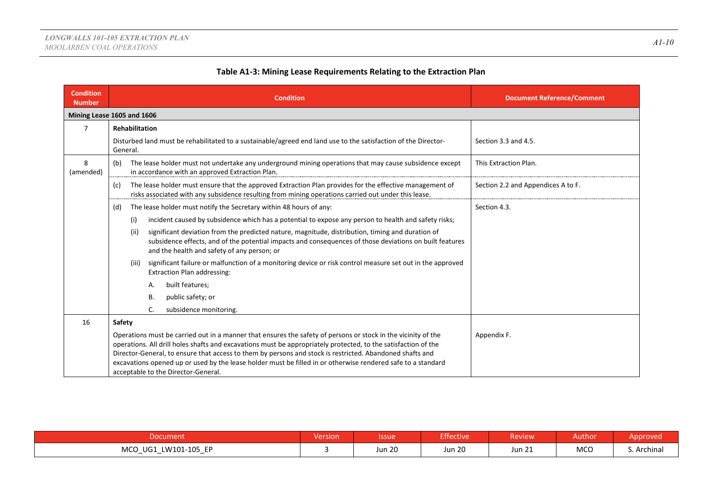| <b>Condition</b><br><b>Number</b> | <b>Condition</b>                                                                                                                                                                                                                                                                                                                                                                                                                                                                                   | <b>Document Reference/Comment</b>  |
|-----------------------------------|----------------------------------------------------------------------------------------------------------------------------------------------------------------------------------------------------------------------------------------------------------------------------------------------------------------------------------------------------------------------------------------------------------------------------------------------------------------------------------------------------|------------------------------------|
|                                   | Mining Lease 1605 and 1606                                                                                                                                                                                                                                                                                                                                                                                                                                                                         |                                    |
| 7                                 | Rehabilitation                                                                                                                                                                                                                                                                                                                                                                                                                                                                                     |                                    |
|                                   | Disturbed land must be rehabilitated to a sustainable/agreed end land use to the satisfaction of the Director-<br>General.                                                                                                                                                                                                                                                                                                                                                                         | Section 3.3 and 4.5.               |
| 8<br>(amended)                    | The lease holder must not undertake any underground mining operations that may cause subsidence except<br>(b)<br>in accordance with an approved Extraction Plan.                                                                                                                                                                                                                                                                                                                                   | This Extraction Plan.              |
|                                   | The lease holder must ensure that the approved Extraction Plan provides for the effective management of<br>(c)<br>risks associated with any subsidence resulting from mining operations carried out under this lease.                                                                                                                                                                                                                                                                              | Section 2.2 and Appendices A to F. |
|                                   | The lease holder must notify the Secretary within 48 hours of any:<br>(d)                                                                                                                                                                                                                                                                                                                                                                                                                          | Section 4.3.                       |
|                                   | incident caused by subsidence which has a potential to expose any person to health and safety risks;<br>(i)                                                                                                                                                                                                                                                                                                                                                                                        |                                    |
|                                   | significant deviation from the predicted nature, magnitude, distribution, timing and duration of<br>(ii)<br>subsidence effects, and of the potential impacts and consequences of those deviations on built features<br>and the health and safety of any person; or                                                                                                                                                                                                                                 |                                    |
|                                   | significant failure or malfunction of a monitoring device or risk control measure set out in the approved<br>(iii)<br><b>Extraction Plan addressing:</b>                                                                                                                                                                                                                                                                                                                                           |                                    |
|                                   | built features;<br>А.                                                                                                                                                                                                                                                                                                                                                                                                                                                                              |                                    |
|                                   | В.<br>public safety; or                                                                                                                                                                                                                                                                                                                                                                                                                                                                            |                                    |
|                                   | subsidence monitoring.<br>C.                                                                                                                                                                                                                                                                                                                                                                                                                                                                       |                                    |
| 16                                | Safety                                                                                                                                                                                                                                                                                                                                                                                                                                                                                             |                                    |
|                                   | Operations must be carried out in a manner that ensures the safety of persons or stock in the vicinity of the<br>operations. All drill holes shafts and excavations must be appropriately protected, to the satisfaction of the<br>Director-General, to ensure that access to them by persons and stock is restricted. Abandoned shafts and<br>excavations opened up or used by the lease holder must be filled in or otherwise rendered safe to a standard<br>acceptable to the Director-General. | Appendix F.                        |

| Document                                                             | . .<br>Version | <b>Issue</b>  | <b>Effective</b>        | <b>Review</b>    | Author             | Approved    |
|----------------------------------------------------------------------|----------------|---------------|-------------------------|------------------|--------------------|-------------|
| <b>MCO</b><br>LW101-105 EP<br>UG1<br>. —<br>$\overline{\phantom{0}}$ |                | <b>Jun 20</b> | $\sim$ $\sim$<br>Jun 20 | $\sim$<br>Jun 21 | <b>MCO</b><br>$ -$ | S. Archinal |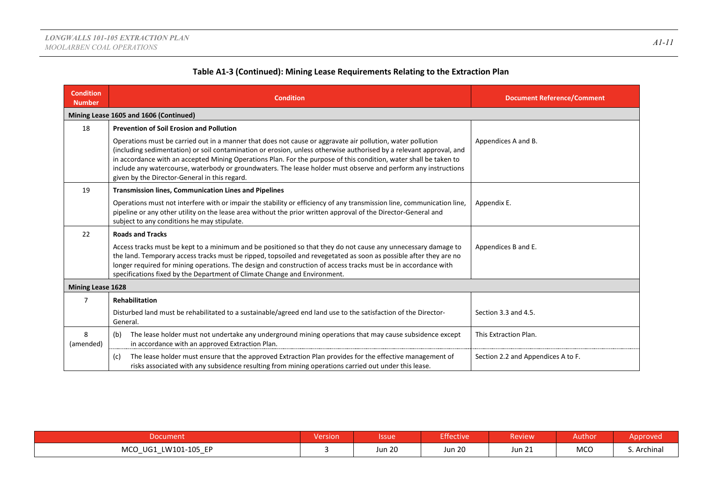| <b>Condition</b><br><b>Number</b> | <b>Condition</b>                                                                                                                                                                                                                                                                                                                                                                                                                                                                                                          | <b>Document Reference/Comment</b>  |
|-----------------------------------|---------------------------------------------------------------------------------------------------------------------------------------------------------------------------------------------------------------------------------------------------------------------------------------------------------------------------------------------------------------------------------------------------------------------------------------------------------------------------------------------------------------------------|------------------------------------|
|                                   | Mining Lease 1605 and 1606 (Continued)                                                                                                                                                                                                                                                                                                                                                                                                                                                                                    |                                    |
| 18                                | <b>Prevention of Soil Erosion and Pollution</b>                                                                                                                                                                                                                                                                                                                                                                                                                                                                           |                                    |
|                                   | Operations must be carried out in a manner that does not cause or aggravate air pollution, water pollution<br>(including sedimentation) or soil contamination or erosion, unless otherwise authorised by a relevant approval, and<br>in accordance with an accepted Mining Operations Plan. For the purpose of this condition, water shall be taken to<br>include any watercourse, waterbody or groundwaters. The lease holder must observe and perform any instructions<br>given by the Director-General in this regard. | Appendices A and B.                |
| 19                                | <b>Transmission lines, Communication Lines and Pipelines</b>                                                                                                                                                                                                                                                                                                                                                                                                                                                              |                                    |
|                                   | Operations must not interfere with or impair the stability or efficiency of any transmission line, communication line,<br>pipeline or any other utility on the lease area without the prior written approval of the Director-General and<br>subject to any conditions he may stipulate.                                                                                                                                                                                                                                   | Appendix E.                        |
| 22                                | <b>Roads and Tracks</b>                                                                                                                                                                                                                                                                                                                                                                                                                                                                                                   |                                    |
|                                   | Access tracks must be kept to a minimum and be positioned so that they do not cause any unnecessary damage to<br>the land. Temporary access tracks must be ripped, topsoiled and revegetated as soon as possible after they are no<br>longer required for mining operations. The design and construction of access tracks must be in accordance with<br>specifications fixed by the Department of Climate Change and Environment.                                                                                         | Appendices B and E.                |
| <b>Mining Lease 1628</b>          |                                                                                                                                                                                                                                                                                                                                                                                                                                                                                                                           |                                    |
| 7                                 | <b>Rehabilitation</b>                                                                                                                                                                                                                                                                                                                                                                                                                                                                                                     |                                    |
|                                   | Disturbed land must be rehabilitated to a sustainable/agreed end land use to the satisfaction of the Director-<br>General.                                                                                                                                                                                                                                                                                                                                                                                                | Section 3.3 and 4.5.               |
| 8<br>(amended)                    | The lease holder must not undertake any underground mining operations that may cause subsidence except<br>(b)<br>in accordance with an approved Extraction Plan.                                                                                                                                                                                                                                                                                                                                                          | This Extraction Plan.              |
|                                   | The lease holder must ensure that the approved Extraction Plan provides for the effective management of<br>(c)<br>risks associated with any subsidence resulting from mining operations carried out under this lease.                                                                                                                                                                                                                                                                                                     | Section 2.2 and Appendices A to F. |

| Document                                                                                  | <b>Version</b> | Issue         | <b>Effective</b> | <b>Review</b>    | Author     | Approved    |
|-------------------------------------------------------------------------------------------|----------------|---------------|------------------|------------------|------------|-------------|
| <b>MCO</b><br>LW101-105 EP<br>UG1<br>$\overline{\phantom{0}}$<br>$\overline{\phantom{0}}$ |                | <b>Jun 20</b> | <b>Jun 20</b>    | $\sim$<br>Jun 21 | <b>MCO</b> | S. Archinal |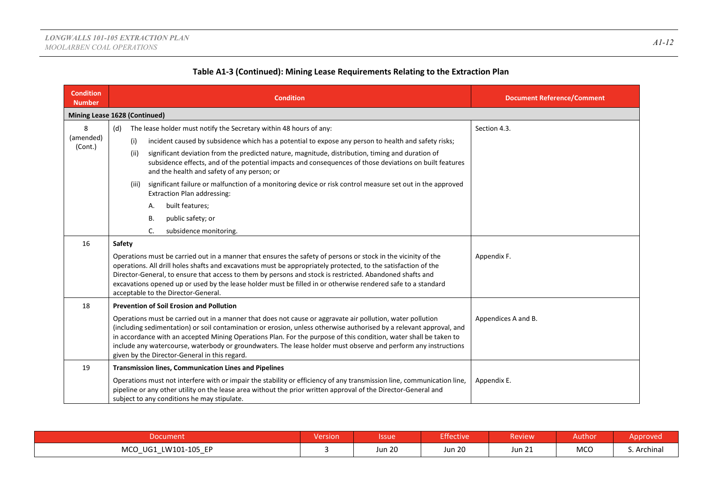|  | Table A1-3 (Continued): Mining Lease Requirements Relating to the Extraction Plan |
|--|-----------------------------------------------------------------------------------|
|--|-----------------------------------------------------------------------------------|

| <b>Condition</b><br><b>Number</b> |        |       | <b>Condition</b>                                                                                                                                                                                                                                                                                                                                                                                                                                                                                                          | <b>Document Reference/Comment</b> |
|-----------------------------------|--------|-------|---------------------------------------------------------------------------------------------------------------------------------------------------------------------------------------------------------------------------------------------------------------------------------------------------------------------------------------------------------------------------------------------------------------------------------------------------------------------------------------------------------------------------|-----------------------------------|
| Mining Lease 1628 (Continued)     |        |       |                                                                                                                                                                                                                                                                                                                                                                                                                                                                                                                           |                                   |
| 8                                 | (d)    |       | The lease holder must notify the Secretary within 48 hours of any:                                                                                                                                                                                                                                                                                                                                                                                                                                                        | Section 4.3.                      |
| (amended)<br>(Cont.)              |        | (i)   | incident caused by subsidence which has a potential to expose any person to health and safety risks;                                                                                                                                                                                                                                                                                                                                                                                                                      |                                   |
|                                   |        | (ii)  | significant deviation from the predicted nature, magnitude, distribution, timing and duration of<br>subsidence effects, and of the potential impacts and consequences of those deviations on built features<br>and the health and safety of any person; or                                                                                                                                                                                                                                                                |                                   |
|                                   |        | (iii) | significant failure or malfunction of a monitoring device or risk control measure set out in the approved<br><b>Extraction Plan addressing:</b>                                                                                                                                                                                                                                                                                                                                                                           |                                   |
|                                   |        |       | built features;<br>А.                                                                                                                                                                                                                                                                                                                                                                                                                                                                                                     |                                   |
|                                   |        |       | public safety; or<br>В.                                                                                                                                                                                                                                                                                                                                                                                                                                                                                                   |                                   |
|                                   |        |       | C.<br>subsidence monitoring.                                                                                                                                                                                                                                                                                                                                                                                                                                                                                              |                                   |
| 16                                | Safety |       |                                                                                                                                                                                                                                                                                                                                                                                                                                                                                                                           |                                   |
|                                   |        |       | Operations must be carried out in a manner that ensures the safety of persons or stock in the vicinity of the<br>operations. All drill holes shafts and excavations must be appropriately protected, to the satisfaction of the<br>Director-General, to ensure that access to them by persons and stock is restricted. Abandoned shafts and<br>excavations opened up or used by the lease holder must be filled in or otherwise rendered safe to a standard<br>acceptable to the Director-General.                        | Appendix F.                       |
| 18                                |        |       | <b>Prevention of Soil Erosion and Pollution</b>                                                                                                                                                                                                                                                                                                                                                                                                                                                                           |                                   |
|                                   |        |       | Operations must be carried out in a manner that does not cause or aggravate air pollution, water pollution<br>(including sedimentation) or soil contamination or erosion, unless otherwise authorised by a relevant approval, and<br>in accordance with an accepted Mining Operations Plan. For the purpose of this condition, water shall be taken to<br>include any watercourse, waterbody or groundwaters. The lease holder must observe and perform any instructions<br>given by the Director-General in this regard. | Appendices A and B.               |
| 19                                |        |       | <b>Transmission lines, Communication Lines and Pipelines</b>                                                                                                                                                                                                                                                                                                                                                                                                                                                              |                                   |
|                                   |        |       | Operations must not interfere with or impair the stability or efficiency of any transmission line, communication line,<br>pipeline or any other utility on the lease area without the prior written approval of the Director-General and<br>subject to any conditions he may stipulate.                                                                                                                                                                                                                                   | Appendix E.                       |

|                                                                          | . .<br><b>Version</b> | <b>Ssue</b>   | Effective     | <b>Review</b> | Author | Approved    |
|--------------------------------------------------------------------------|-----------------------|---------------|---------------|---------------|--------|-------------|
| LW101-105 EP<br><b>MCO</b><br>UG1<br>$\overline{\phantom{0}}$<br>__<br>- |                       | <b>Jun 20</b> | <b>Jun 20</b> | <b>Jun 21</b> | MCO    | S. Archinal |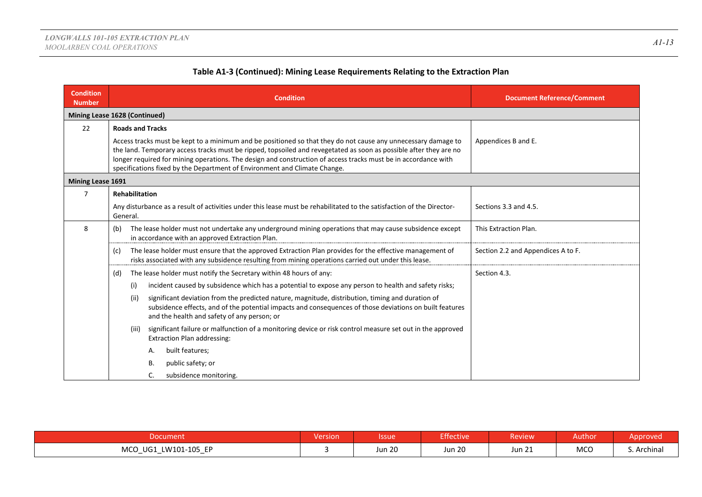| <b>Condition</b><br><b>Number</b> | <b>Condition</b>                                                                                                                                                                                                                                                                                                                                                                                                                  | <b>Document Reference/Comment</b>  |
|-----------------------------------|-----------------------------------------------------------------------------------------------------------------------------------------------------------------------------------------------------------------------------------------------------------------------------------------------------------------------------------------------------------------------------------------------------------------------------------|------------------------------------|
|                                   | Mining Lease 1628 (Continued)                                                                                                                                                                                                                                                                                                                                                                                                     |                                    |
| 22                                | <b>Roads and Tracks</b>                                                                                                                                                                                                                                                                                                                                                                                                           |                                    |
|                                   | Access tracks must be kept to a minimum and be positioned so that they do not cause any unnecessary damage to<br>the land. Temporary access tracks must be ripped, topsoiled and revegetated as soon as possible after they are no<br>longer required for mining operations. The design and construction of access tracks must be in accordance with<br>specifications fixed by the Department of Environment and Climate Change. | Appendices B and E.                |
| Mining Lease 1691                 |                                                                                                                                                                                                                                                                                                                                                                                                                                   |                                    |
| $\overline{7}$                    | <b>Rehabilitation</b>                                                                                                                                                                                                                                                                                                                                                                                                             |                                    |
|                                   | Any disturbance as a result of activities under this lease must be rehabilitated to the satisfaction of the Director-<br>General.                                                                                                                                                                                                                                                                                                 | Sections 3.3 and 4.5.              |
| 8                                 | The lease holder must not undertake any underground mining operations that may cause subsidence except<br>(b)<br>in accordance with an approved Extraction Plan.                                                                                                                                                                                                                                                                  | This Extraction Plan.              |
|                                   | The lease holder must ensure that the approved Extraction Plan provides for the effective management of<br>(c)<br>risks associated with any subsidence resulting from mining operations carried out under this lease.                                                                                                                                                                                                             | Section 2.2 and Appendices A to F. |
|                                   | The lease holder must notify the Secretary within 48 hours of any:<br>(d)                                                                                                                                                                                                                                                                                                                                                         | Section 4.3.                       |
|                                   | incident caused by subsidence which has a potential to expose any person to health and safety risks;<br>(i)                                                                                                                                                                                                                                                                                                                       |                                    |
|                                   | significant deviation from the predicted nature, magnitude, distribution, timing and duration of<br>(ii)<br>subsidence effects, and of the potential impacts and consequences of those deviations on built features<br>and the health and safety of any person; or                                                                                                                                                                |                                    |
|                                   | significant failure or malfunction of a monitoring device or risk control measure set out in the approved<br>(iii)<br><b>Extraction Plan addressing:</b>                                                                                                                                                                                                                                                                          |                                    |
|                                   | built features;<br>Α.                                                                                                                                                                                                                                                                                                                                                                                                             |                                    |
|                                   | public safety; or<br>В.                                                                                                                                                                                                                                                                                                                                                                                                           |                                    |
|                                   | subsidence monitoring.<br>C.                                                                                                                                                                                                                                                                                                                                                                                                      |                                    |

| <b>Nocument</b>                                                                            | <b>Version</b> | <b>Issue</b>  | Effective     | <b>Review</b>        | Authon     | pprovec  |
|--------------------------------------------------------------------------------------------|----------------|---------------|---------------|----------------------|------------|----------|
| ED<br>LW101-105 .<br>UG1<br><b>MCO</b><br>$-$<br>$\sim$ $\sim$<br>$\overline{\phantom{0}}$ |                | <b>Jun 20</b> | <b>Jun 20</b> | $^{\circ}$<br>Jun 21 | <b>MCO</b> | Archinal |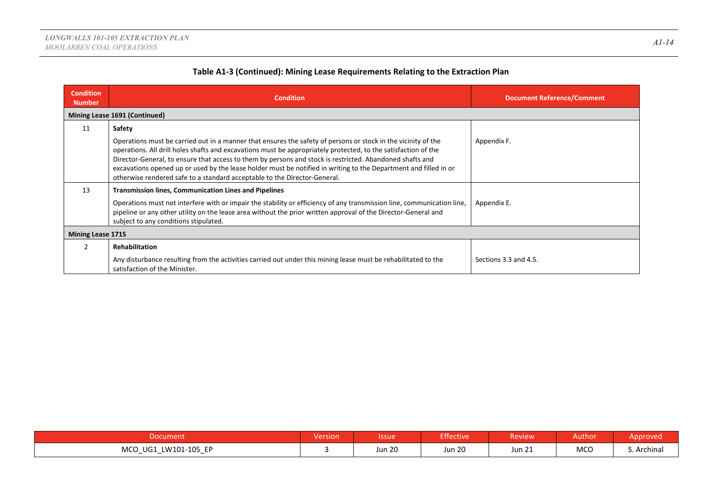| <b>Condition</b><br><b>Number</b> | <b>Condition</b>                                                                                                                                                                                                                                                                                                                                                                                                                                                                                                                             | <b>Document Reference/Comment</b> |
|-----------------------------------|----------------------------------------------------------------------------------------------------------------------------------------------------------------------------------------------------------------------------------------------------------------------------------------------------------------------------------------------------------------------------------------------------------------------------------------------------------------------------------------------------------------------------------------------|-----------------------------------|
|                                   | Mining Lease 1691 (Continued)                                                                                                                                                                                                                                                                                                                                                                                                                                                                                                                |                                   |
| 11                                | Safety                                                                                                                                                                                                                                                                                                                                                                                                                                                                                                                                       |                                   |
|                                   | Operations must be carried out in a manner that ensures the safety of persons or stock in the vicinity of the<br>operations. All drill holes shafts and excavations must be appropriately protected, to the satisfaction of the<br>Director-General, to ensure that access to them by persons and stock is restricted. Abandoned shafts and<br>excavations opened up or used by the lease holder must be notified in writing to the Department and filled in or<br>otherwise rendered safe to a standard acceptable to the Director-General. | Appendix F.                       |
| 13                                | <b>Transmission lines, Communication Lines and Pipelines</b><br>Operations must not interfere with or impair the stability or efficiency of any transmission line, communication line,<br>pipeline or any other utility on the lease area without the prior written approval of the Director-General and<br>subject to any conditions stipulated.                                                                                                                                                                                            | Appendix E.                       |
| <b>Mining Lease 1715</b>          |                                                                                                                                                                                                                                                                                                                                                                                                                                                                                                                                              |                                   |
|                                   | <b>Rehabilitation</b>                                                                                                                                                                                                                                                                                                                                                                                                                                                                                                                        |                                   |
|                                   | Any disturbance resulting from the activities carried out under this mining lease must be rehabilitated to the<br>satisfaction of the Minister.                                                                                                                                                                                                                                                                                                                                                                                              | Sections 3.3 and 4.5.             |

| Document                                                                                              | Version | <b>ssue</b>   | <b>Effective</b> | Review           | Author     | Approved    |
|-------------------------------------------------------------------------------------------------------|---------|---------------|------------------|------------------|------------|-------------|
| <b>MCO</b><br>LW101-105 EP<br>UG1<br><u>—</u><br>$\overline{\phantom{0}}$<br>$\overline{\phantom{0}}$ |         | <b>Jun 20</b> | <b>Jun 20</b>    | $\sim$<br>Jun 21 | <b>MCO</b> | S. Archinal |